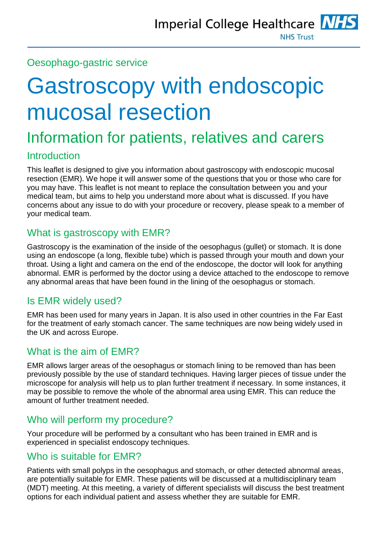## Oesophago-gastric service

# Gastroscopy with endoscopic mucosal resection

## Information for patients, relatives and carers

## **Introduction**

This leaflet is designed to give you information about gastroscopy with endoscopic mucosal resection (EMR). We hope it will answer some of the questions that you or those who care for you may have. This leaflet is not meant to replace the consultation between you and your medical team, but aims to help you understand more about what is discussed. If you have concerns about any issue to do with your procedure or recovery, please speak to a member of your medical team.

## What is gastroscopy with EMR?

Gastroscopy is the examination of the inside of the oesophagus (gullet) or stomach. It is done using an endoscope (a long, flexible tube) which is passed through your mouth and down your throat. Using a light and camera on the end of the endoscope, the doctor will look for anything abnormal. EMR is performed by the doctor using a device attached to the endoscope to remove any abnormal areas that have been found in the lining of the oesophagus or stomach.

## Is EMR widely used?

EMR has been used for many years in Japan. It is also used in other countries in the Far East for the treatment of early stomach cancer. The same techniques are now being widely used in the UK and across Europe.

## What is the aim of EMR?

EMR allows larger areas of the oesophagus or stomach lining to be removed than has been previously possible by the use of standard techniques. Having larger pieces of tissue under the microscope for analysis will help us to plan further treatment if necessary. In some instances, it may be possible to remove the whole of the abnormal area using EMR. This can reduce the amount of further treatment needed.

## Who will perform my procedure?

Your procedure will be performed by a consultant who has been trained in EMR and is experienced in specialist endoscopy techniques.

## Who is suitable for EMR?

Patients with small polyps in the oesophagus and stomach, or other detected abnormal areas, are potentially suitable for EMR. These patients will be discussed at a multidisciplinary team (MDT) meeting. At this meeting, a variety of different specialists will discuss the best treatment options for each individual patient and assess whether they are suitable for EMR.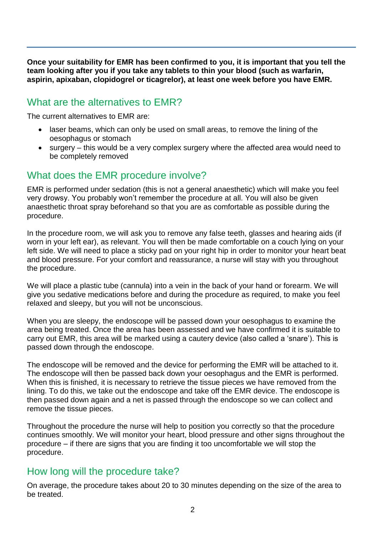**Once your suitability for EMR has been confirmed to you, it is important that you tell the team looking after you if you take any tablets to thin your blood (such as warfarin, aspirin, apixaban, clopidogrel or ticagrelor), at least one week before you have EMR.**

## What are the alternatives to EMR?

The current alternatives to EMR are:

- laser beams, which can only be used on small areas, to remove the lining of the oesophagus or stomach
- surgery this would be a very complex surgery where the affected area would need to be completely removed

## What does the EMR procedure involve?

EMR is performed under sedation (this is not a general anaesthetic) which will make you feel very drowsy. You probably won't remember the procedure at all. You will also be given anaesthetic throat spray beforehand so that you are as comfortable as possible during the procedure.

In the procedure room, we will ask you to remove any false teeth, glasses and hearing aids (if worn in your left ear), as relevant. You will then be made comfortable on a couch lying on your left side. We will need to place a sticky pad on your right hip in order to monitor your heart beat and blood pressure. For your comfort and reassurance, a nurse will stay with you throughout the procedure.

We will place a plastic tube (cannula) into a vein in the back of your hand or forearm. We will give you sedative medications before and during the procedure as required, to make you feel relaxed and sleepy, but you will not be unconscious.

When you are sleepy, the endoscope will be passed down your oesophagus to examine the area being treated. Once the area has been assessed and we have confirmed it is suitable to carry out EMR, this area will be marked using a cautery device (also called a 'snare'). This is passed down through the endoscope.

The endoscope will be removed and the device for performing the EMR will be attached to it. The endoscope will then be passed back down your oesophagus and the EMR is performed. When this is finished, it is necessary to retrieve the tissue pieces we have removed from the lining. To do this, we take out the endoscope and take off the EMR device. The endoscope is then passed down again and a net is passed through the endoscope so we can collect and remove the tissue pieces.

Throughout the procedure the nurse will help to position you correctly so that the procedure continues smoothly. We will monitor your heart, blood pressure and other signs throughout the procedure – if there are signs that you are finding it too uncomfortable we will stop the procedure.

## How long will the procedure take?

On average, the procedure takes about 20 to 30 minutes depending on the size of the area to be treated.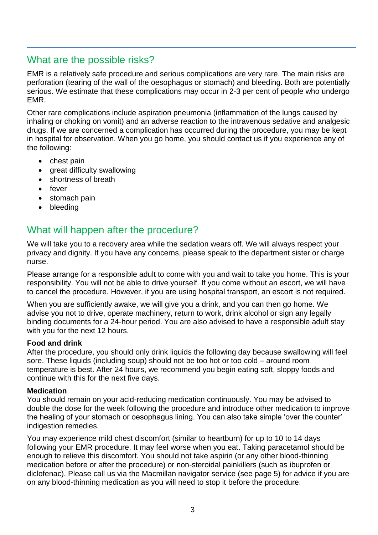## What are the possible risks?

EMR is a relatively safe procedure and serious complications are very rare. The main risks are perforation (tearing of the wall of the oesophagus or stomach) and bleeding. Both are potentially serious. We estimate that these complications may occur in 2-3 per cent of people who undergo EMR.

Other rare complications include aspiration pneumonia (inflammation of the lungs caused by inhaling or choking on vomit) and an adverse reaction to the intravenous sedative and analgesic drugs. If we are concerned a complication has occurred during the procedure, you may be kept in hospital for observation. When you go home, you should contact us if you experience any of the following:

- chest pain
- great difficulty swallowing
- shortness of breath
- fever
- stomach pain
- bleeding

## What will happen after the procedure?

We will take you to a recovery area while the sedation wears off. We will always respect your privacy and dignity. If you have any concerns, please speak to the department sister or charge nurse.

Please arrange for a responsible adult to come with you and wait to take you home. This is your responsibility. You will not be able to drive yourself. If you come without an escort, we will have to cancel the procedure. However, if you are using hospital transport, an escort is not required.

When you are sufficiently awake, we will give you a drink, and you can then go home. We advise you not to drive, operate machinery, return to work, drink alcohol or sign any legally binding documents for a 24-hour period. You are also advised to have a responsible adult stay with you for the next 12 hours.

#### **Food and drink**

After the procedure, you should only drink liquids the following day because swallowing will feel sore. These liquids (including soup) should not be too hot or too cold – around room temperature is best. After 24 hours, we recommend you begin eating soft, sloppy foods and continue with this for the next five days.

#### **Medication**

You should remain on your acid-reducing medication continuously. You may be advised to double the dose for the week following the procedure and introduce other medication to improve the healing of your stomach or oesophagus lining. You can also take simple 'over the counter' indigestion remedies.

You may experience mild chest discomfort (similar to heartburn) for up to 10 to 14 days following your EMR procedure. It may feel worse when you eat. Taking paracetamol should be enough to relieve this discomfort. You should not take aspirin (or any other blood-thinning medication before or after the procedure) or non-steroidal painkillers (such as ibuprofen or diclofenac). Please call us via the Macmillan navigator service (see page 5) for advice if you are on any blood-thinning medication as you will need to stop it before the procedure.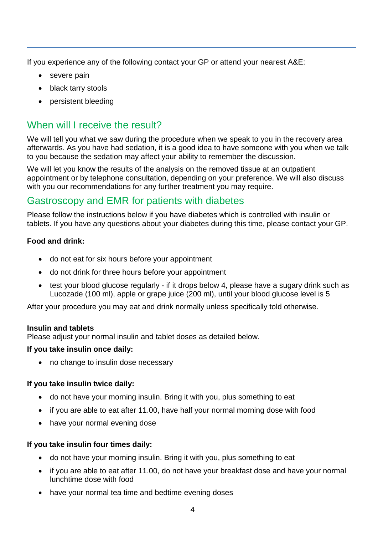If you experience any of the following contact your GP or attend your nearest A&E:

- severe pain
- black tarry stools
- persistent bleeding

## When will I receive the result?

We will tell you what we saw during the procedure when we speak to you in the recovery area afterwards. As you have had sedation, it is a good idea to have someone with you when we talk to you because the sedation may affect your ability to remember the discussion.

We will let you know the results of the analysis on the removed tissue at an outpatient appointment or by telephone consultation, depending on your preference. We will also discuss with you our recommendations for any further treatment you may require.

## Gastroscopy and EMR for patients with diabetes

Please follow the instructions below if you have diabetes which is controlled with insulin or tablets. If you have any questions about your diabetes during this time, please contact your GP.

#### **Food and drink:**

- do not eat for six hours before your appointment
- do not drink for three hours before your appointment
- test your blood glucose regularly if it drops below 4, please have a sugary drink such as Lucozade (100 ml), apple or grape juice (200 ml), until your blood glucose level is 5

After your procedure you may eat and drink normally unless specifically told otherwise.

#### **Insulin and tablets**

Please adjust your normal insulin and tablet doses as detailed below.

#### **If you take insulin once daily:**

• no change to insulin dose necessary

#### **If you take insulin twice daily:**

- do not have your morning insulin. Bring it with you, plus something to eat
- if you are able to eat after 11.00, have half your normal morning dose with food
- have your normal evening dose

#### **If you take insulin four times daily:**

- do not have your morning insulin. Bring it with you, plus something to eat
- if you are able to eat after 11.00, do not have your breakfast dose and have your normal lunchtime dose with food
- have your normal tea time and bedtime evening doses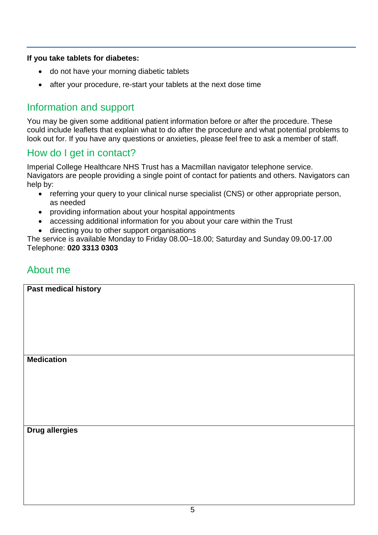#### **If you take tablets for diabetes:**

- do not have your morning diabetic tablets
- after your procedure, re-start your tablets at the next dose time

## Information and support

You may be given some additional patient information before or after the procedure. These could include leaflets that explain what to do after the procedure and what potential problems to look out for. If you have any questions or anxieties, please feel free to ask a member of staff.

## How do I get in contact?

Imperial College Healthcare NHS Trust has a Macmillan navigator telephone service. Navigators are people providing a single point of contact for patients and others. Navigators can help by:

- referring your query to your clinical nurse specialist (CNS) or other appropriate person, as needed
- providing information about your hospital appointments
- accessing additional information for you about your care within the Trust
- directing you to other support organisations

The service is available Monday to Friday 08.00–18.00; Saturday and Sunday 09.00-17.00 Telephone: **020 3313 0303**

## About me

| Past medical history |  |
|----------------------|--|
|                      |  |
|                      |  |
|                      |  |
|                      |  |
|                      |  |
|                      |  |
|                      |  |
| <b>Medication</b>    |  |
|                      |  |
|                      |  |
|                      |  |
|                      |  |
|                      |  |
|                      |  |

#### **Drug allergies**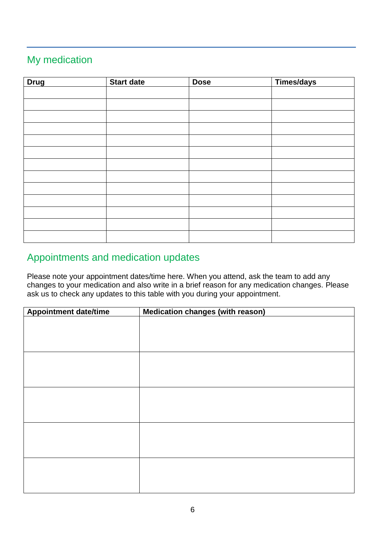## My medication

| <b>Drug</b> | Start date | <b>Dose</b> | Times/days |
|-------------|------------|-------------|------------|
|             |            |             |            |
|             |            |             |            |
|             |            |             |            |
|             |            |             |            |
|             |            |             |            |
|             |            |             |            |
|             |            |             |            |
|             |            |             |            |
|             |            |             |            |
|             |            |             |            |
|             |            |             |            |
|             |            |             |            |
|             |            |             |            |

## Appointments and medication updates

Please note your appointment dates/time here. When you attend, ask the team to add any changes to your medication and also write in a brief reason for any medication changes. Please ask us to check any updates to this table with you during your appointment.

| <b>Appointment date/time</b> | <b>Medication changes (with reason)</b> |  |  |
|------------------------------|-----------------------------------------|--|--|
|                              |                                         |  |  |
|                              |                                         |  |  |
|                              |                                         |  |  |
|                              |                                         |  |  |
|                              |                                         |  |  |
|                              |                                         |  |  |
|                              |                                         |  |  |
|                              |                                         |  |  |
|                              |                                         |  |  |
|                              |                                         |  |  |
|                              |                                         |  |  |
|                              |                                         |  |  |
|                              |                                         |  |  |
|                              |                                         |  |  |
|                              |                                         |  |  |
|                              |                                         |  |  |
|                              |                                         |  |  |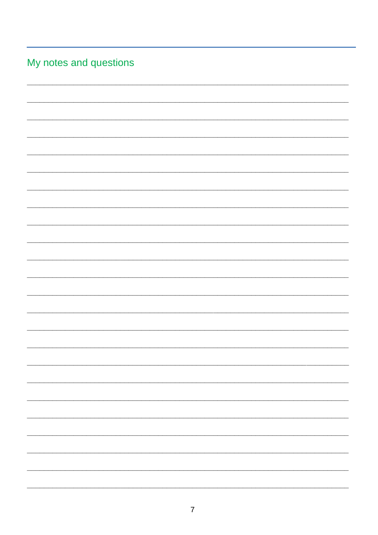| My notes and questions |  |
|------------------------|--|
|------------------------|--|

|  | - |
|--|---|
|  |   |
|  |   |
|  |   |
|  |   |
|  |   |
|  |   |
|  |   |